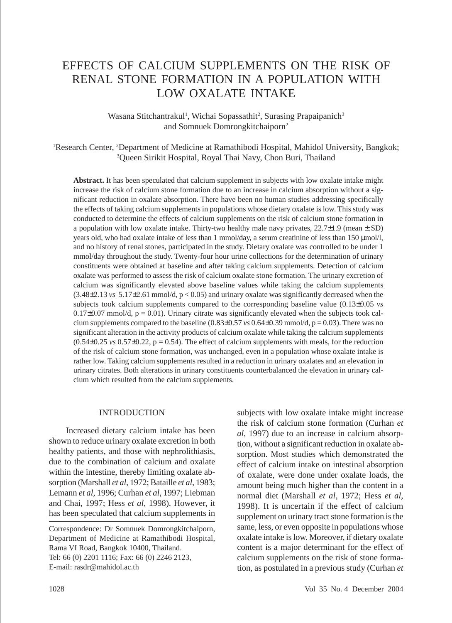# EFFECTS OF CALCIUM SUPPLEMENTS ON THE RISK OF RENAL STONE FORMATION IN A POPULATION WITH LOW OXALATE INTAKE

Wasana Stitchantrakul<sup>1</sup>, Wichai Sopassathit<sup>2</sup>, Surasing Prapaipanich<sup>3</sup> and Somnuek Domrongkitchaiporn2

<sup>1</sup>Research Center, <sup>2</sup>Department of Medicine at Ramathibodi Hospital, Mahidol University, Bangkok; 3 Queen Sirikit Hospital, Royal Thai Navy, Chon Buri, Thailand

**Abstract.** It has been speculated that calcium supplement in subjects with low oxalate intake might increase the risk of calcium stone formation due to an increase in calcium absorption without a significant reduction in oxalate absorption. There have been no human studies addressing specifically the effects of taking calcium supplements in populations whose dietary oxalate is low. This study was conducted to determine the effects of calcium supplements on the risk of calcium stone formation in a population with low oxalate intake. Thirty-two healthy male navy privates,  $22.7\pm1.9$  (mean  $\pm$  SD) years old, who had oxalate intake of less than 1 mmol/day, a serum creatinine of less than 150  $\mu$ mol/l, and no history of renal stones, participated in the study. Dietary oxalate was controlled to be under 1 mmol/day throughout the study. Twenty-four hour urine collections for the determination of urinary constituents were obtained at baseline and after taking calcium supplements. Detection of calcium oxalate was performed to assess the risk of calcium oxalate stone formation. The urinary excretion of calcium was significantly elevated above baseline values while taking the calcium supplements  $(3.48\pm2.13 \text{ vs } 5.17\pm2.61 \text{ mmol/d}, p < 0.05)$  and urinary oxalate was significantly decreased when the subjects took calcium supplements compared to the corresponding baseline value  $(0.13\pm0.05 \text{ v}s)$  $0.17\pm0.07$  mmol/d,  $p = 0.01$ ). Urinary citrate was significantly elevated when the subjects took calcium supplements compared to the baseline  $(0.83\pm0.57 \text{ ys } 0.64\pm0.39 \text{ mmol/d}, p = 0.03)$ . There was no significant alteration in the activity products of calcium oxalate while taking the calcium supplements  $(0.54\pm0.25 \text{ vs } 0.57\pm0.22, p=0.54)$ . The effect of calcium supplements with meals, for the reduction of the risk of calcium stone formation, was unchanged, even in a population whose oxalate intake is rather low. Taking calcium supplements resulted in a reduction in urinary oxalates and an elevation in urinary citrates. Both alterations in urinary constituents counterbalanced the elevation in urinary calcium which resulted from the calcium supplements.

#### INTRODUCTION

Increased dietary calcium intake has been shown to reduce urinary oxalate excretion in both healthy patients, and those with nephrolithiasis, due to the combination of calcium and oxalate within the intestine, thereby limiting oxalate absorption (Marshall *et al*, 1972; Bataille *et al*, 1983; Lemann *et al*, 1996; Curhan *et al*, 1997; Liebman and Chai, 1997; Hess *et al*, 1998). However, it has been speculated that calcium supplements in subjects with low oxalate intake might increase the risk of calcium stone formation (Curhan *et al*, 1997) due to an increase in calcium absorption, without a significant reduction in oxalate absorption. Most studies which demonstrated the effect of calcium intake on intestinal absorption of oxalate, were done under oxalate loads, the amount being much higher than the content in a normal diet (Marshall *et al*, 1972; Hess *et al*, 1998). It is uncertain if the effect of calcium supplement on urinary tract stone formation is the same, less, or even opposite in populations whose oxalate intake is low. Moreover, if dietary oxalate content is a major determinant for the effect of calcium supplements on the risk of stone formation, as postulated in a previous study (Curhan *et*

Correspondence: Dr Somnuek Domrongkitchaiporn, Department of Medicine at Ramathibodi Hospital, Rama VI Road, Bangkok 10400, Thailand. Tel: 66 (0) 2201 1116; Fax: 66 (0) 2246 2123, E-mail: rasdr@mahidol.ac.th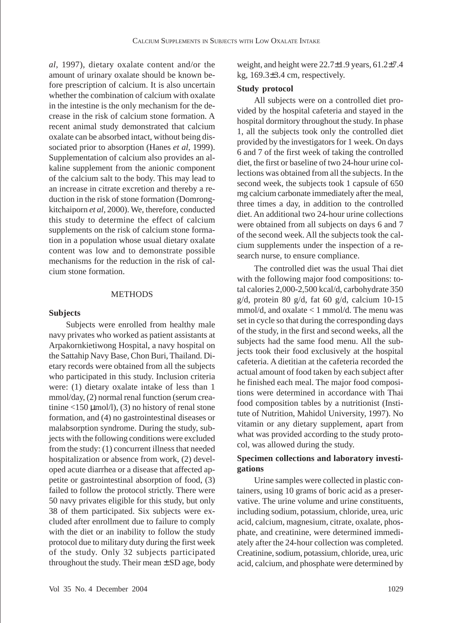*al*, 1997), dietary oxalate content and/or the amount of urinary oxalate should be known before prescription of calcium. It is also uncertain whether the combination of calcium with oxalate in the intestine is the only mechanism for the decrease in the risk of calcium stone formation. A recent animal study demonstrated that calcium oxalate can be absorbed intact, without being dissociated prior to absorption (Hanes *et al*, 1999). Supplementation of calcium also provides an alkaline supplement from the anionic component of the calcium salt to the body. This may lead to an increase in citrate excretion and thereby a reduction in the risk of stone formation (Domrongkitchaiporn *et al*, 2000). We, therefore, conducted this study to determine the effect of calcium supplements on the risk of calcium stone formation in a population whose usual dietary oxalate content was low and to demonstrate possible mechanisms for the reduction in the risk of calcium stone formation.

## **METHODS**

#### **Subjects**

Subjects were enrolled from healthy male navy privates who worked as patient assistants at Arpakornkietiwong Hospital, a navy hospital on the Sattahip Navy Base, Chon Buri, Thailand. Dietary records were obtained from all the subjects who participated in this study. Inclusion criteria were: (1) dietary oxalate intake of less than 1 mmol/day, (2) normal renal function (serum creatinine  $\langle 150 \mu \text{mol/l} \rangle$ , (3) no history of renal stone formation, and (4) no gastrointestinal diseases or malabsorption syndrome. During the study, subjects with the following conditions were excluded from the study: (1) concurrent illness that needed hospitalization or absence from work, (2) developed acute diarrhea or a disease that affected appetite or gastrointestinal absorption of food, (3) failed to follow the protocol strictly. There were 50 navy privates eligible for this study, but only 38 of them participated. Six subjects were excluded after enrollment due to failure to comply with the diet or an inability to follow the study protocol due to military duty during the first week of the study. Only 32 subjects participated throughout the study. Their mean ± SD age, body

weight, and height were  $22.7\pm1.9$  years,  $61.2\pm7.4$ kg, 169.3±3.4 cm, respectively.

#### **Study protocol**

All subjects were on a controlled diet provided by the hospital cafeteria and stayed in the hospital dormitory throughout the study. In phase 1, all the subjects took only the controlled diet provided by the investigators for 1 week. On days 6 and 7 of the first week of taking the controlled diet, the first or baseline of two 24-hour urine collections was obtained from all the subjects. In the second week, the subjects took 1 capsule of 650 mg calcium carbonate immediately after the meal, three times a day, in addition to the controlled diet. An additional two 24-hour urine collections were obtained from all subjects on days 6 and 7 of the second week. All the subjects took the calcium supplements under the inspection of a research nurse, to ensure compliance.

The controlled diet was the usual Thai diet with the following major food compositions: total calories 2,000-2,500 kcal/d, carbohydrate 350 g/d, protein 80 g/d, fat 60 g/d, calcium 10-15 mmol/d, and oxalate < 1 mmol/d. The menu was set in cycle so that during the corresponding days of the study, in the first and second weeks, all the subjects had the same food menu. All the subjects took their food exclusively at the hospital cafeteria. A dietitian at the cafeteria recorded the actual amount of food taken by each subject after he finished each meal. The major food compositions were determined in accordance with Thai food composition tables by a nutritionist (Institute of Nutrition, Mahidol University, 1997). No vitamin or any dietary supplement, apart from what was provided according to the study protocol, was allowed during the study.

# **Specimen collections and laboratory investigations**

Urine samples were collected in plastic containers, using 10 grams of boric acid as a preservative. The urine volume and urine constituents, including sodium, potassium, chloride, urea, uric acid, calcium, magnesium, citrate, oxalate, phosphate, and creatinine, were determined immediately after the 24-hour collection was completed. Creatinine, sodium, potassium, chloride, urea, uric acid, calcium, and phosphate were determined by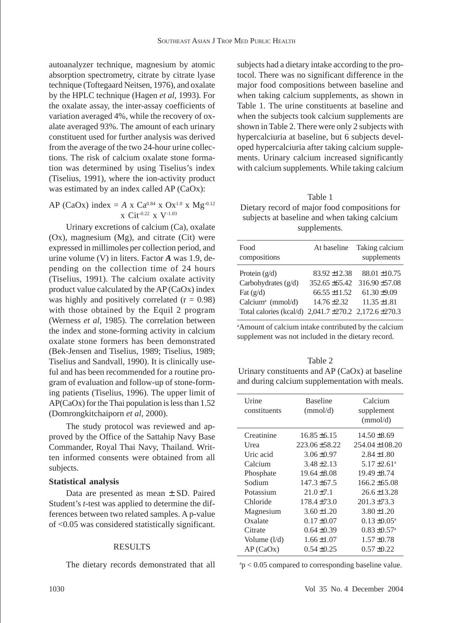autoanalyzer technique, magnesium by atomic absorption spectrometry, citrate by citrate lyase technique (Toftegaard Neitsen, 1976), and oxalate by the HPLC technique (Hagen *et al*, 1993). For the oxalate assay, the inter-assay coefficients of variation averaged 4%, while the recovery of oxalate averaged 93%. The amount of each urinary constituent used for further analysis was derived from the average of the two 24-hour urine collections. The risk of calcium oxalate stone formation was determined by using Tiselius's index (Tiselius, 1991), where the ion-activity product was estimated by an index called AP (CaOx):

AP (CaOx) index = 
$$
A \times Ca^{0.84} \times Ox^{1.0} \times Mg^{-0.12}
$$
  
  $\times Ci t^{0.22} \times V^{-1.03}$ 

Urinary excretions of calcium (Ca), oxalate (Ox), magnesium (Mg), and citrate (Cit) were expressed in millimoles per collection period, and urine volume (V) in liters. Factor *A* was 1.9, depending on the collection time of 24 hours (Tiselius, 1991). The calcium oxalate activity product value calculated by the AP (CaOx) index was highly and positively correlated  $(r = 0.98)$ with those obtained by the Equil 2 program (Werness *et al*, 1985). The correlation between the index and stone-forming activity in calcium oxalate stone formers has been demonstrated (Bek-Jensen and Tiselius, 1989; Tiselius, 1989; Tiselius and Sandvall, 1990). It is clinically useful and has been recommended for a routine program of evaluation and follow-up of stone-forming patients (Tiselius, 1996). The upper limit of AP(CaOx) for the Thai population is less than 1.52 (Domrongkitchaiporn *et al*, 2000).

The study protocol was reviewed and approved by the Office of the Sattahip Navy Base Commander, Royal Thai Navy, Thailand. Written informed consents were obtained from all subjects.

#### **Statistical analysis**

Data are presented as mean ± SD. Paired Student's *t*-test was applied to determine the differences between two related samples. A p-value of <0.05 was considered statistically significant.

#### RESULTS

The dietary records demonstrated that all

subjects had a dietary intake according to the protocol. There was no significant difference in the major food compositions between baseline and when taking calcium supplements, as shown in Table 1. The urine constituents at baseline and when the subjects took calcium supplements are shown in Table 2. There were only 2 subjects with hypercalciuria at baseline, but 6 subjects developed hypercalciuria after taking calcium supplements. Urinary calcium increased significantly with calcium supplements. While taking calcium

| Table 1                                       |
|-----------------------------------------------|
| Dietary record of major food compositions for |
| subjects at baseline and when taking calcium  |
| supplements.                                  |

| Food<br>compositions                                            | At baseline       | Taking calcium<br>supplements |
|-----------------------------------------------------------------|-------------------|-------------------------------|
| Protein $(g/d)$                                                 | $83.92 \pm 12.38$ | $88.01 \pm 10.75$             |
| Carbohydrates $(g/d)$                                           | $352.65 + 65.42$  | $316.90 \pm 57.08$            |
| Fat $(g/d)$                                                     | $66.55 \pm 11.52$ | $61.30 \pm 9.09$              |
| Calcium <sup>a</sup> (mmol/d)                                   | $14.76 \pm 2.32$  | $11.35 \pm 1.81$              |
| Total calories (kcal/d) $2,041.7 \pm 270.2$ $2,172.6 \pm 270.3$ |                   |                               |

a Amount of calcium intake contributed by the calcium supplement was not included in the dietary record.

| Table 2                                         |
|-------------------------------------------------|
| Urinary constituents and $AP(CaOx)$ at baseline |
| and during calcium supplementation with meals.  |

| Urine<br>constituents | <b>Baseline</b><br>(mmol/d) | Calcium<br>supplement<br>(mmol/d) |
|-----------------------|-----------------------------|-----------------------------------|
| Creatinine            | $16.85 \pm 6.15$            | $14.50 \pm 8.69$                  |
| Urea                  | $223.06 + 58.22$            | $254.04 \pm 108.20$               |
| Uric acid             | $3.06 \pm 0.97$             | $2.84 \pm 1.80$                   |
| Calcium               | $3.48 \pm 2.13$             | $5.17 \pm 2.61$ <sup>a</sup>      |
| Phosphate             | $19.64 \pm 8.08$            | $19.49 \pm 8.74$                  |
| Sodium                | $147.3 \pm 67.5$            | $166.2 + 65.08$                   |
| Potassium             | $21.0 + 7.1$                | $26.6 \pm 13.28$                  |
| Chloride              | $178.4 \pm 73.0$            | $201.3 + 73.3$                    |
| Magnesium             | $3.60 \pm 1.20$             | $3.80 \pm 1.20$                   |
| Oxalate               | $0.17 \pm 0.07$             | $0.13 \pm 0.05^{\text{a}}$        |
| Citrate               | $0.64 \pm 0.39$             | $0.83 \pm 0.57$ <sup>a</sup>      |
| Volume $(l/d)$        | $1.66 \pm 1.07$             | $1.57 \pm 0.78$                   |
| AP(CaOx)              | $0.54 + 0.25$               | $0.57 \pm 0.22$                   |
|                       |                             |                                   |

a p < 0.05 compared to corresponding baseline value.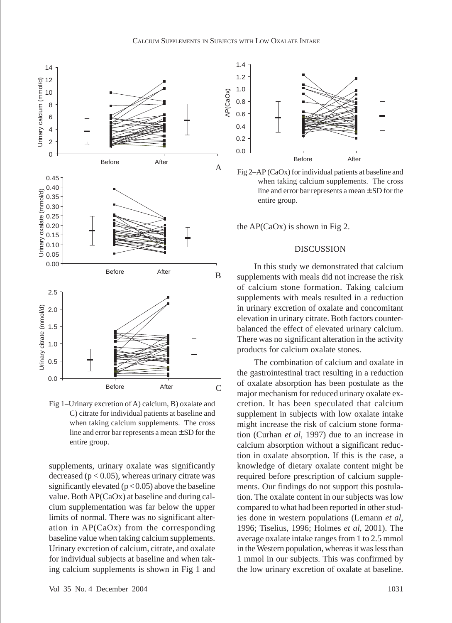

Fig 1–Urinary excretion of A) calcium, B) oxalate and C) citrate for individual patients at baseline and when taking calcium supplements. The cross line and error bar represents a mean ± SD for the entire group.

supplements, urinary oxalate was significantly decreased ( $p < 0.05$ ), whereas urinary citrate was significantly elevated  $(p < 0.05)$  above the baseline value. Both AP(CaOx) at baseline and during calcium supplementation was far below the upper limits of normal. There was no significant alteration in AP(CaOx) from the corresponding baseline value when taking calcium supplements. Urinary excretion of calcium, citrate, and oxalate for individual subjects at baseline and when taking calcium supplements is shown in Fig 1 and





the AP(CaOx) is shown in Fig 2.

## DISCUSSION

In this study we demonstrated that calcium supplements with meals did not increase the risk of calcium stone formation. Taking calcium supplements with meals resulted in a reduction in urinary excretion of oxalate and concomitant elevation in urinary citrate. Both factors counterbalanced the effect of elevated urinary calcium. There was no significant alteration in the activity products for calcium oxalate stones.

The combination of calcium and oxalate in the gastrointestinal tract resulting in a reduction of oxalate absorption has been postulate as the major mechanism for reduced urinary oxalate excretion. It has been speculated that calcium supplement in subjects with low oxalate intake might increase the risk of calcium stone formation (Curhan *et al*, 1997) due to an increase in calcium absorption without a significant reduction in oxalate absorption. If this is the case, a knowledge of dietary oxalate content might be required before prescription of calcium supplements. Our findings do not support this postulation. The oxalate content in our subjects was low compared to what had been reported in other studies done in western populations (Lemann *et al*, 1996; Tiselius, 1996; Holmes *et al*, 2001). The average oxalate intake ranges from 1 to 2.5 mmol in the Western population, whereas it was less than 1 mmol in our subjects. This was confirmed by the low urinary excretion of oxalate at baseline.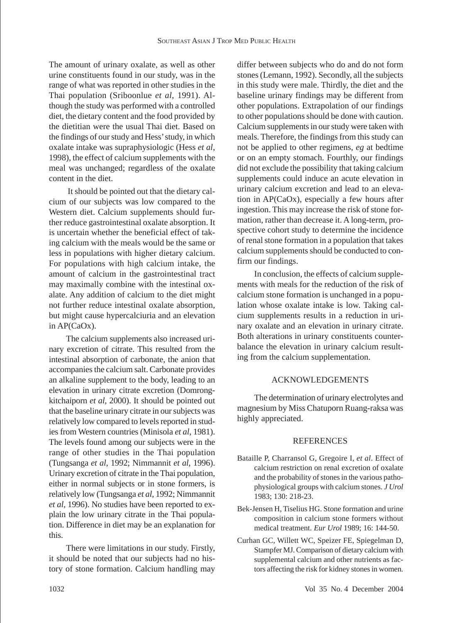The amount of urinary oxalate, as well as other urine constituents found in our study, was in the range of what was reported in other studies in the Thai population (Sriboonlue *et al*, 1991). Although the study was performed with a controlled diet, the dietary content and the food provided by the dietitian were the usual Thai diet. Based on the findings of our study and Hess' study, in which oxalate intake was supraphysiologic (Hess *et al*, 1998), the effect of calcium supplements with the meal was unchanged; regardless of the oxalate content in the diet.

It should be pointed out that the dietary calcium of our subjects was low compared to the Western diet. Calcium supplements should further reduce gastrointestinal oxalate absorption. It is uncertain whether the beneficial effect of taking calcium with the meals would be the same or less in populations with higher dietary calcium. For populations with high calcium intake, the amount of calcium in the gastrointestinal tract may maximally combine with the intestinal oxalate. Any addition of calcium to the diet might not further reduce intestinal oxalate absorption, but might cause hypercalciuria and an elevation in AP(CaOx).

The calcium supplements also increased urinary excretion of citrate. This resulted from the intestinal absorption of carbonate, the anion that accompanies the calcium salt. Carbonate provides an alkaline supplement to the body, leading to an elevation in urinary citrate excretion (Domrongkitchaiporn *et al*, 2000). It should be pointed out that the baseline urinary citrate in our subjects was relatively low compared to levels reported in studies from Western countries (Minisola *et al*, 1981). The levels found among our subjects were in the range of other studies in the Thai population (Tungsanga *et al*, 1992; Nimmannit *et al*, 1996). Urinary excretion of citrate in the Thai population, either in normal subjects or in stone formers, is relatively low (Tungsanga *et al*, 1992; Nimmannit *et al*, 1996). No studies have been reported to explain the low urinary citrate in the Thai population. Difference in diet may be an explanation for this.

There were limitations in our study. Firstly, it should be noted that our subjects had no history of stone formation. Calcium handling may differ between subjects who do and do not form stones (Lemann, 1992). Secondly, all the subjects in this study were male. Thirdly, the diet and the baseline urinary findings may be different from other populations. Extrapolation of our findings to other populations should be done with caution. Calcium supplements in our study were taken with meals. Therefore, the findings from this study can not be applied to other regimens, *eg* at bedtime or on an empty stomach. Fourthly, our findings did not exclude the possibility that taking calcium supplements could induce an acute elevation in urinary calcium excretion and lead to an elevation in AP(CaOx), especially a few hours after ingestion. This may increase the risk of stone formation, rather than decrease it. A long-term, prospective cohort study to determine the incidence of renal stone formation in a population that takes calcium supplements should be conducted to confirm our findings.

In conclusion, the effects of calcium supplements with meals for the reduction of the risk of calcium stone formation is unchanged in a population whose oxalate intake is low. Taking calcium supplements results in a reduction in urinary oxalate and an elevation in urinary citrate. Both alterations in urinary constituents counterbalance the elevation in urinary calcium resulting from the calcium supplementation.

## ACKNOWLEDGEMENTS

The determination of urinary electrolytes and magnesium by Miss Chatuporn Ruang-raksa was highly appreciated.

### **REFERENCES**

- Bataille P, Charransol G, Gregoire I, *et al*. Effect of calcium restriction on renal excretion of oxalate and the probability of stones in the various pathophysiological groups with calcium stones. *J Urol* 1983; 130: 218-23.
- Bek-Jensen H, Tiselius HG. Stone formation and urine composition in calcium stone formers without medical treatment. *Eur Urol* 1989; 16: 144-50.
- Curhan GC, Willett WC, Speizer FE, Spiegelman D, Stampfer MJ. Comparison of dietary calcium with supplemental calcium and other nutrients as factors affecting the risk for kidney stones in women*.*